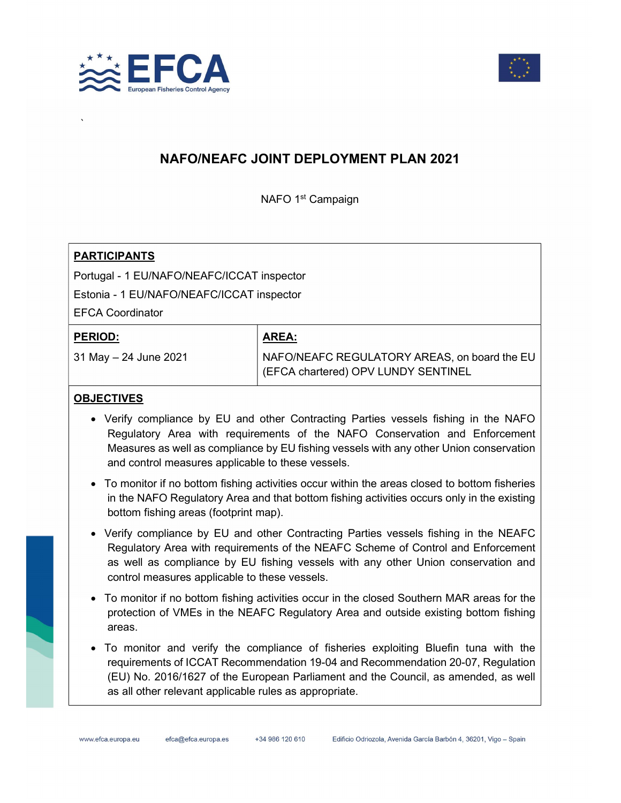



# NAFO/NEAFC JOINT DEPLOYMENT PLAN 2021

NAFO 1<sup>st</sup> Campaign

#### **PARTICIPANTS**

Portugal - 1 EU/NAFO/NEAFC/ICCAT inspector

Estonia - 1 EU/NAFO/NEAFC/ICCAT inspector

EFCA Coordinator

#### PERIOD:

`

31 May – 24 June 2021

### AREA:

NAFO/NEAFC REGULATORY AREAS, on board the EU (EFCA chartered) OPV LUNDY SENTINEL

#### **OBJECTIVES**

- Verify compliance by EU and other Contracting Parties vessels fishing in the NAFO Regulatory Area with requirements of the NAFO Conservation and Enforcement Measures as well as compliance by EU fishing vessels with any other Union conservation and control measures applicable to these vessels.
- To monitor if no bottom fishing activities occur within the areas closed to bottom fisheries in the NAFO Regulatory Area and that bottom fishing activities occurs only in the existing bottom fishing areas (footprint map).
- Verify compliance by EU and other Contracting Parties vessels fishing in the NEAFC Regulatory Area with requirements of the NEAFC Scheme of Control and Enforcement as well as compliance by EU fishing vessels with any other Union conservation and control measures applicable to these vessels.
- To monitor if no bottom fishing activities occur in the closed Southern MAR areas for the protection of VMEs in the NEAFC Regulatory Area and outside existing bottom fishing areas.
- To monitor and verify the compliance of fisheries exploiting Bluefin tuna with the requirements of ICCAT Recommendation 19-04 and Recommendation 20-07, Regulation (EU) No. 2016/1627 of the European Parliament and the Council, as amended, as well as all other relevant applicable rules as appropriate.